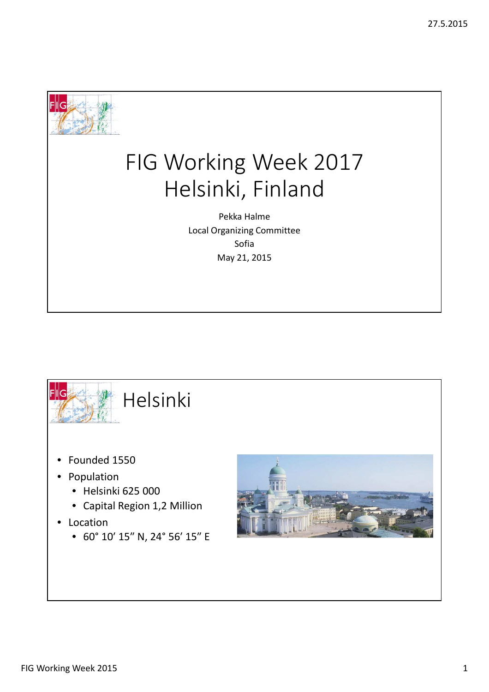

## FIG Working Week 2017 Helsinki, Finland

Pekka Halme Local Organizing Committee Sofia May 21, 2015



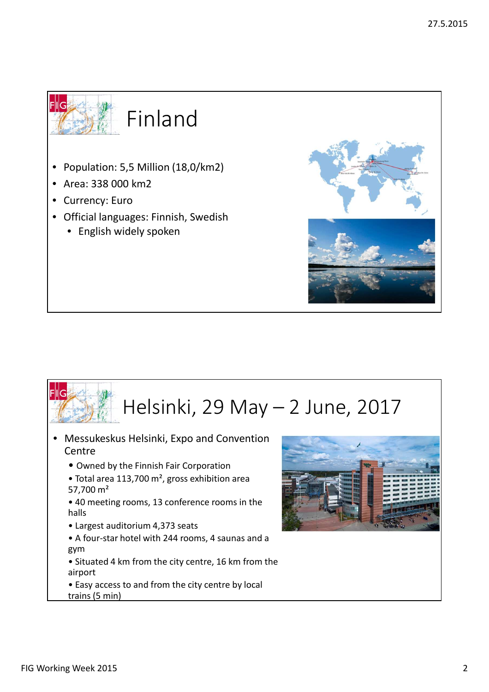

- Population: 5,5 Million (18,0/km2)
- Area: 338 000 km2
- Currency: Euro
- Official languages: Finnish, Swedish
	- English widely spoken



- Messukeskus Helsinki, Expo and Convention **Centre** 
	- Owned by the Finnish Fair Corporation
	- Total area 113,700 m², gross exhibition area 57,700 m²
	- 40 meeting rooms, 13 conference rooms in the halls
	- Largest auditorium 4,373 seats
	- A four-star hotel with 244 rooms, 4 saunas and a gym
	- Situated 4 km from the city centre, 16 km from the airport
	- Easy access to and from the city centre by local trains (5 min)



FIIG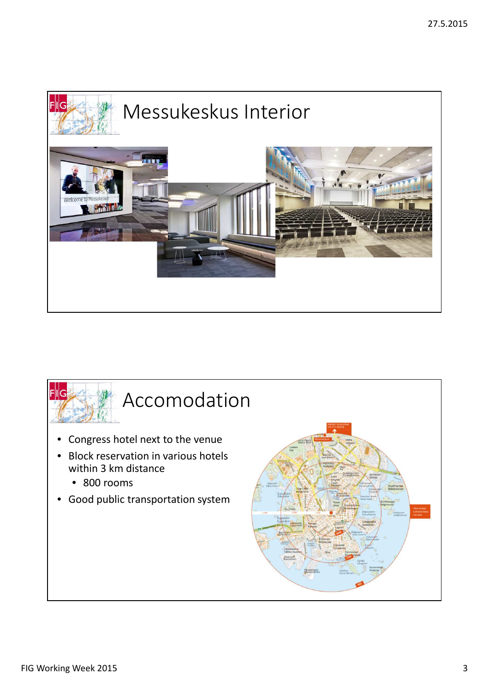

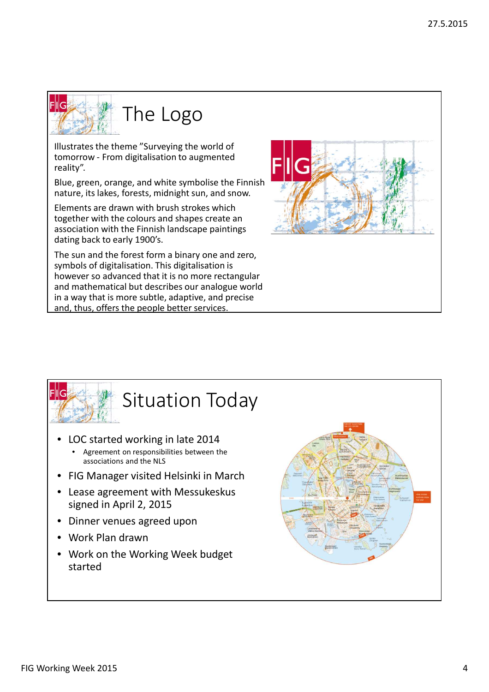

Illustrates the theme "Surveying the world of tomorrow - From digitalisation to augmented reality".

Blue, green, orange, and white symbolise the Finnish nature, its lakes, forests, midnight sun, and snow.

Elements are drawn with brush strokes which together with the colours and shapes create an association with the Finnish landscape paintings dating back to early 1900's.

The sun and the forest form a binary one and zero, symbols of digitalisation. This digitalisation is however so advanced that it is no more rectangular and mathematical but describes our analogue world in a way that is more subtle, adaptive, and precise and, thus, offers the people better services.





- LOC started working in late 2014
	- Agreement on responsibilities between the associations and the NLS
- FIG Manager visited Helsinki in March
- Lease agreement with Messukeskus signed in April 2, 2015
- Dinner venues agreed upon
- Work Plan drawn
- Work on the Working Week budget started